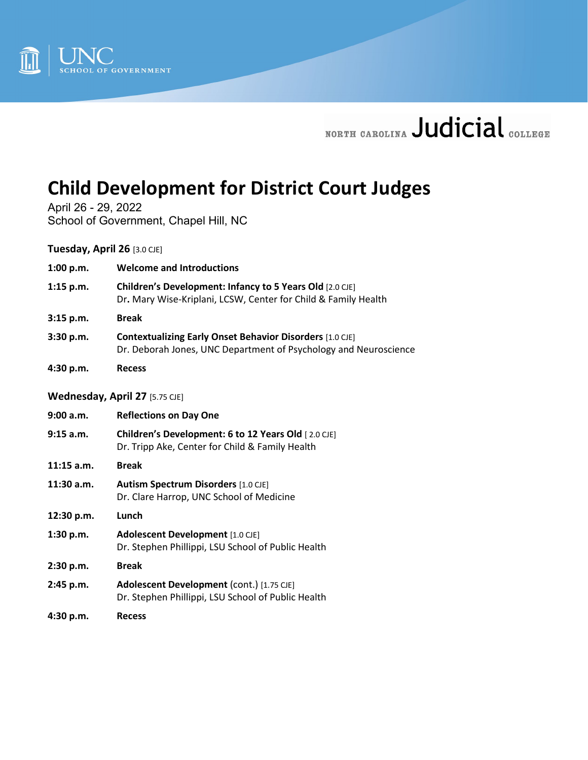

# NORTH CAROLINA Judicial COLLEGE

# **Child Development for District Court Judges**

April 26 - 29, 2022 School of Government, Chapel Hill, NC

**Tuesday, April 26** [3.0 CJE]

| 1:00 p.m. | <b>Welcome and Introductions</b> |
|-----------|----------------------------------|
|-----------|----------------------------------|

- **1:15 p.m. Children's Development: Infancy to 5 Years Old** [2.0 CJE] Dr**.** Mary Wise-Kriplani, LCSW, Center for Child & Family Health
- **3:15 p.m. Break**
- **3:30 p.m. Contextualizing Early Onset Behavior Disorders** [1.0 CJE] Dr. Deborah Jones, UNC Department of Psychology and Neuroscience
- **4:30 p.m. Recess**

#### **Wednesday, April 27** [5.75 CJE]

| 9:00 a.m.    | <b>Reflections on Day One</b>                                                                          |
|--------------|--------------------------------------------------------------------------------------------------------|
| 9:15 a.m.    | Children's Development: 6 to 12 Years Old [2.0 CJE]<br>Dr. Tripp Ake, Center for Child & Family Health |
| $11:15$ a.m. | <b>Break</b>                                                                                           |
| 11:30 a.m.   | <b>Autism Spectrum Disorders</b> [1.0 CJE]<br>Dr. Clare Harrop, UNC School of Medicine                 |
| 12:30 p.m.   | Lunch                                                                                                  |
| 1:30 p.m.    | Adolescent Development [1.0 CJE]<br>Dr. Stephen Phillippi, LSU School of Public Health                 |
| 2:30 p.m.    | <b>Break</b>                                                                                           |
| 2:45 p.m.    | Adolescent Development (cont.) [1.75 CJE]<br>Dr. Stephen Phillippi, LSU School of Public Health        |
| 4:30 p.m.    | <b>Recess</b>                                                                                          |